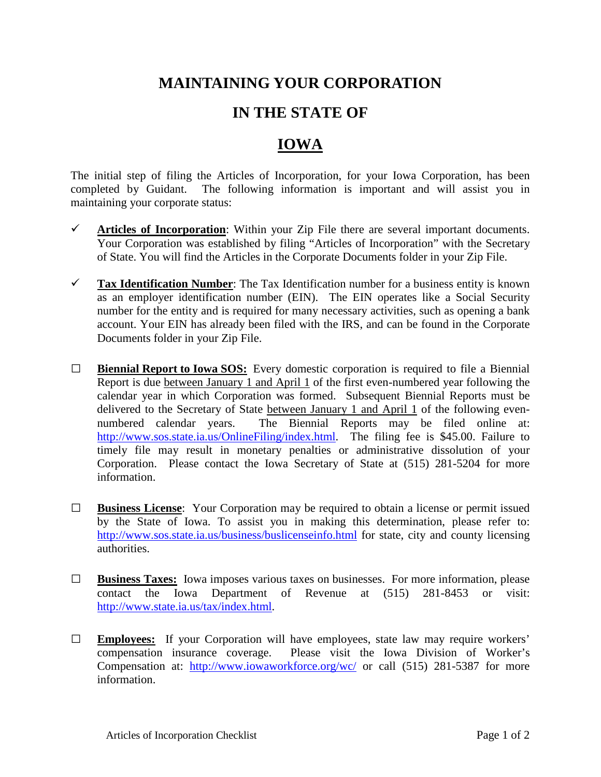## **MAINTAINING YOUR CORPORATION**

## **IN THE STATE OF**

## **IOWA**

The initial step of filing the Articles of Incorporation, for your Iowa Corporation, has been completed by Guidant. The following information is important and will assist you in maintaining your corporate status:

- $\checkmark$  Articles of Incorporation: Within your Zip File there are several important documents. Your Corporation was established by filing "Articles of Incorporation" with the Secretary of State. You will find the Articles in the Corporate Documents folder in your Zip File.
- **Tax Identification Number**: The Tax Identification number for a business entity is known as an employer identification number (EIN). The EIN operates like a Social Security number for the entity and is required for many necessary activities, such as opening a bank account. Your EIN has already been filed with the IRS, and can be found in the Corporate Documents folder in your Zip File.
- **□ Biennial Report to Iowa SOS:** Every domestic corporation is required to file a Biennial Report is due between January 1 and April 1 of the first even-numbered year following the calendar year in which Corporation was formed. Subsequent Biennial Reports must be delivered to the Secretary of State between January 1 and April 1 of the following evennumbered calendar years. The Biennial Reports may be filed online at: [http://www.sos.state.ia.us/OnlineFiling/index.html.](http://www.sos.state.ia.us/OnlineFiling/index.html) The filing fee is \$45.00. Failure to timely file may result in monetary penalties or administrative dissolution of your Corporation. Please contact the Iowa Secretary of State at (515) 281-5204 for more information.
- **□ Business License**: Your Corporation may be required to obtain a license or permit issued by the State of Iowa. To assist you in making this determination, please refer to: <http://www.sos.state.ia.us/business/buslicenseinfo.html> for state, city and county licensing authorities.
- **□ Business Taxes:** Iowa imposes various taxes on businesses. For more information, please contact the Iowa Department of Revenue at (515) 281-8453 or visit: [http://www.state.ia.us/tax/index.html.](http://www.state.ia.us/tax/index.html)
- **□ Employees:** If your Corporation will have employees, state law may require workers' compensation insurance coverage. Please visit the Iowa Division of Worker's Compensation at: <http://www.iowaworkforce.org/wc/> or call (515) 281-5387 for more information.